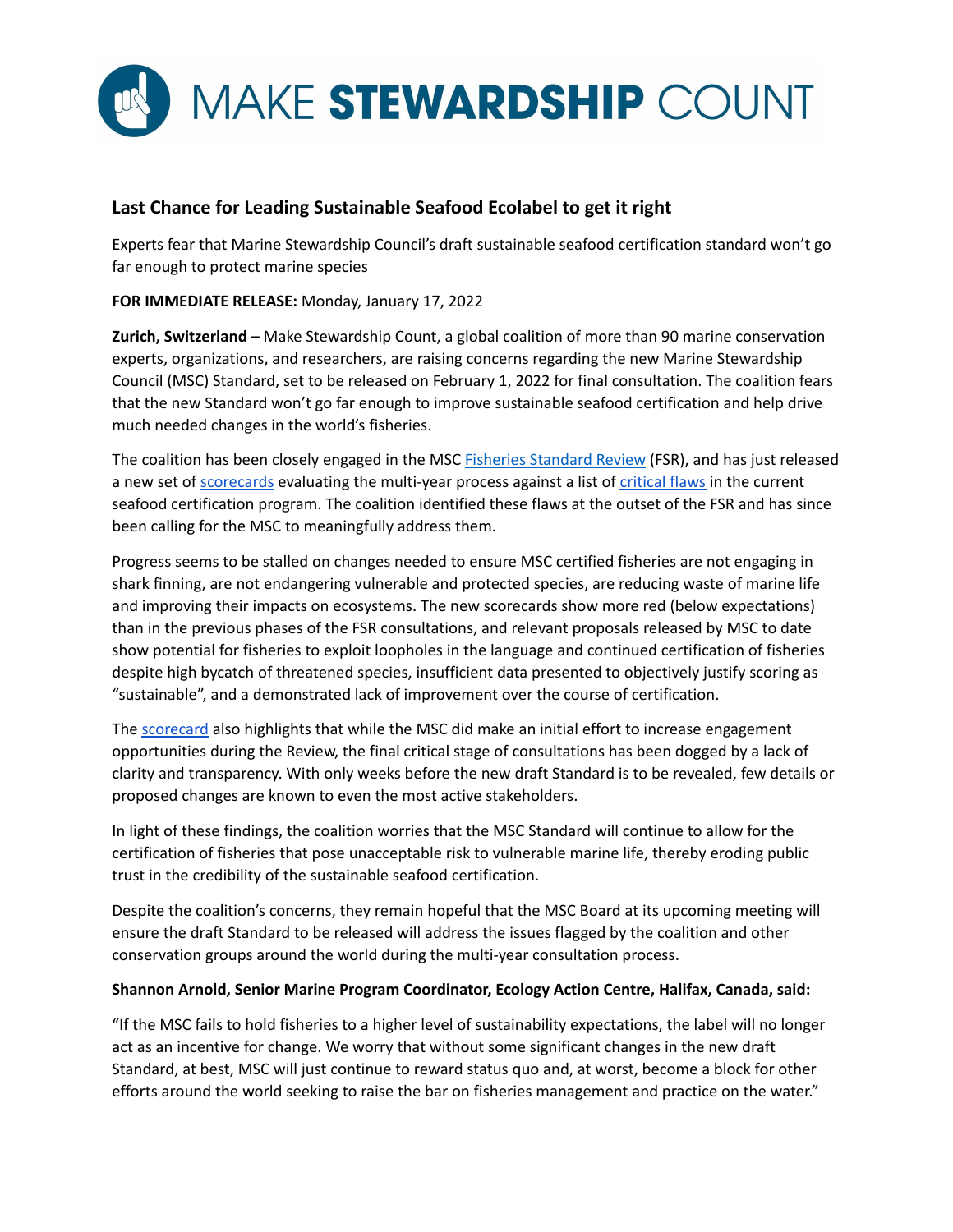

# **Last Chance for Leading Sustainable Seafood Ecolabel to get it right**

Experts fear that Marine Stewardship Council's draft sustainable seafood certification standard won't go far enough to protect marine species

**FOR IMMEDIATE RELEASE:** Monday, January 17, 2022

**Zurich, Switzerland** – Make Stewardship Count, a global coalition of more than 90 marine conservation experts, organizations, and researchers, are raising concerns regarding the new Marine Stewardship Council (MSC) Standard, set to be released on February 1, 2022 for final consultation. The coalition fears that the new Standard won't go far enough to improve sustainable seafood certification and help drive much needed changes in the world's fisheries.

The coalition has been closely engaged in the MSC **Fisheries [Standard](https://www.msc.org/standards-and-certification/developing-our-standards/the-fisheries-standard-review) Review** (FSR), and has just released a new set of [scorecards](https://www.make-stewardship-count.org/scorecards-list/) evaluating the multi-year process against a list of [critical](https://www.make-stewardship-count.org/wp-content/uploads/2018/02/Annex-to-Open-Letter-to-MSC_FINAL_January-2018.pdf) flaws in the current seafood certification program. The coalition identified these flaws at the outset of the FSR and has since been calling for the MSC to meaningfully address them.

Progress seems to be stalled on changes needed to ensure MSC certified fisheries are not engaging in shark finning, are not endangering vulnerable and protected species, are reducing waste of marine life and improving their impacts on ecosystems. The new scorecards show more red (below expectations) than in the previous phases of the FSR consultations, and relevant proposals released by MSC to date show potential for fisheries to exploit loopholes in the language and continued certification of fisheries despite high bycatch of threatened species, insufficient data presented to objectively justify scoring as "sustainable", and a demonstrated lack of improvement over the course of certification.

The [scorecard](https://www.make-stewardship-count.org/scorecards-list/) also highlights that while the MSC did make an initial effort to increase engagement opportunities during the Review, the final critical stage of consultations has been dogged by a lack of clarity and transparency. With only weeks before the new draft Standard is to be revealed, few details or proposed changes are known to even the most active stakeholders.

In light of these findings, the coalition worries that the MSC Standard will continue to allow for the certification of fisheries that pose unacceptable risk to vulnerable marine life, thereby eroding public trust in the credibility of the sustainable seafood certification.

Despite the coalition's concerns, they remain hopeful that the MSC Board at its upcoming meeting will ensure the draft Standard to be released will address the issues flagged by the coalition and other conservation groups around the world during the multi-year consultation process.

# **Shannon Arnold, Senior Marine Program Coordinator, Ecology Action Centre, Halifax, Canada, said:**

"If the MSC fails to hold fisheries to a higher level of sustainability expectations, the label will no longer act as an incentive for change. We worry that without some significant changes in the new draft Standard, at best, MSC will just continue to reward status quo and, at worst, become a block for other efforts around the world seeking to raise the bar on fisheries management and practice on the water."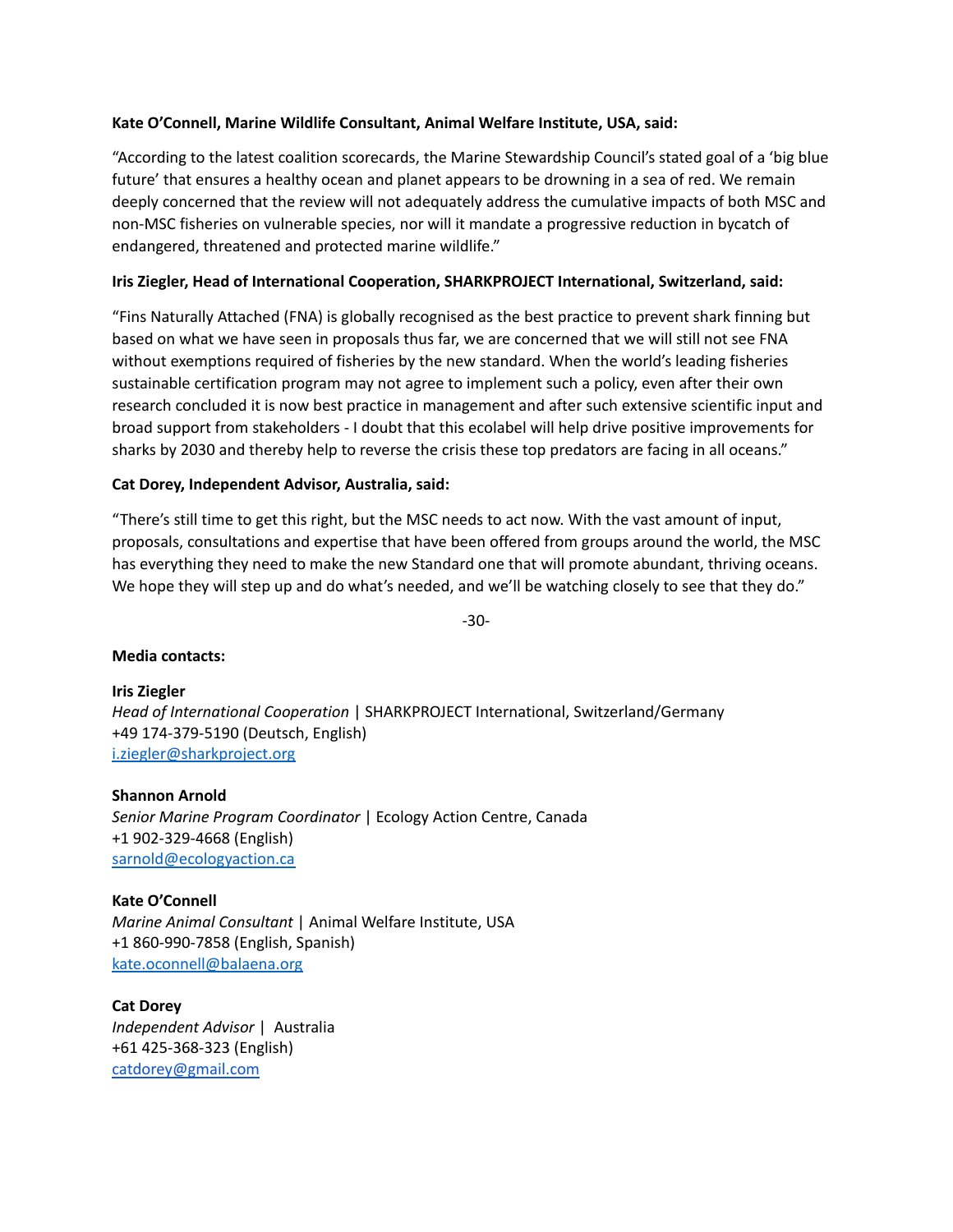# **Kate O'Connell, Marine Wildlife Consultant, Animal Welfare Institute, USA, said:**

"According to the latest coalition scorecards, the Marine Stewardship Council's stated goal of a 'big blue future' that ensures a healthy ocean and planet appears to be drowning in a sea of red. We remain deeply concerned that the review will not adequately address the cumulative impacts of both MSC and non-MSC fisheries on vulnerable species, nor will it mandate a progressive reduction in bycatch of endangered, threatened and protected marine wildlife."

# **Iris Ziegler, Head of International Cooperation, SHARKPROJECT International, Switzerland, said:**

"Fins Naturally Attached (FNA) is globally recognised as the best practice to prevent shark finning but based on what we have seen in proposals thus far, we are concerned that we will still not see FNA without exemptions required of fisheries by the new standard. When the world's leading fisheries sustainable certification program may not agree to implement such a policy, even after their own research concluded it is now best practice in management and after such extensive scientific input and broad support from stakeholders - I doubt that this ecolabel will help drive positive improvements for sharks by 2030 and thereby help to reverse the crisis these top predators are facing in all oceans."

#### **Cat Dorey, Independent Advisor, Australia, said:**

"There's still time to get this right, but the MSC needs to act now. With the vast amount of input, proposals, consultations and expertise that have been offered from groups around the world, the MSC has everything they need to make the new Standard one that will promote abundant, thriving oceans. We hope they will step up and do what's needed, and we'll be watching closely to see that they do."

-30-

#### **Media contacts:**

**Iris Ziegler** *Head of International Cooperation* | SHARKPROJECT International, Switzerland/Germany +49 174-379-5190 (Deutsch, English) [i.ziegler@sharkproject.org](mailto:i.ziegler@sharkproject.org)

**Shannon Arnold** *Senior Marine Program Coordinator* | Ecology Action Centre, Canada +1 902-329-4668 (English) [sarnold@ecologyaction.ca](mailto:Sarnold@ecologyaction.ca)

**Kate O'Connell** *Marine Animal Consultant* | Animal Welfare Institute, USA +1 860-990-7858 (English, Spanish) [kate.oconnell@balaena.org](mailto:kate.oconnell@balaena.org)

**Cat Dorey** *Independent Advisor* | Australia +61 425-368-323 (English) [catdorey@gmail.com](mailto:catdorey@gmail.com)